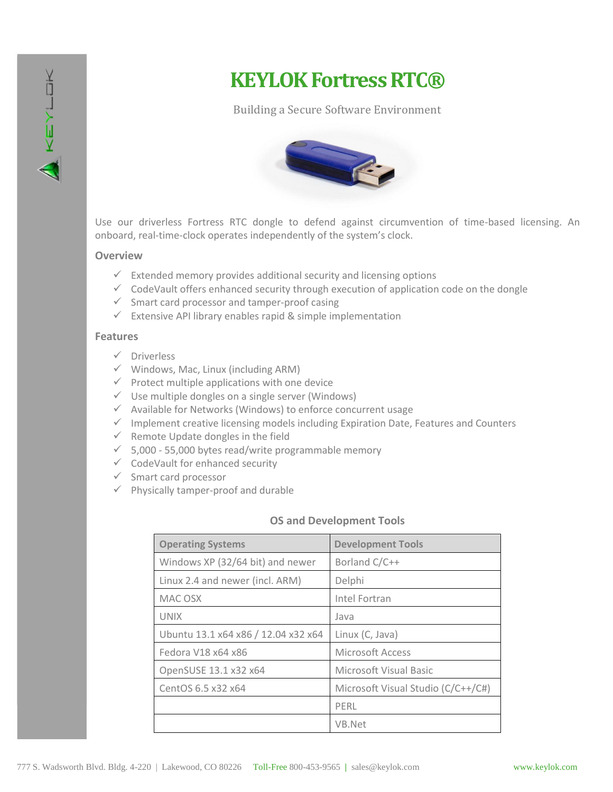

# **KEYLOK Fortress RTC®**

## Building a Secure Software Environment



Use our driverless Fortress RTC dongle to defend against circumvention of time-based licensing. An onboard, real-time-clock operates independently of the system's clock.

### **Overview**

- $\checkmark$  Extended memory provides additional security and licensing options
- $\checkmark$  CodeVault offers enhanced security through execution of application code on the dongle
- $\checkmark$  Smart card processor and tamper-proof casing
- $\checkmark$  Extensive API library enables rapid & simple implementation

#### **Features**

- $\checkmark$  Driverless
- $\checkmark$  Windows, Mac, Linux (including ARM)
- $\checkmark$  Protect multiple applications with one device
- $\checkmark$  Use multiple dongles on a single server (Windows)
- $\checkmark$  Available for Networks (Windows) to enforce concurrent usage
- $\checkmark$  Implement creative licensing models including Expiration Date, Features and Counters
- $\checkmark$  Remote Update dongles in the field
- $\checkmark$  5,000 55,000 bytes read/write programmable memory
- $\checkmark$  CodeVault for enhanced security
- $\checkmark$  Smart card processor
- $\checkmark$  Physically tamper-proof and durable

### **OS and Development Tools**

| <b>Operating Systems</b>            | <b>Development Tools</b>           |
|-------------------------------------|------------------------------------|
| Windows XP (32/64 bit) and newer    | Borland C/C++                      |
| Linux 2.4 and newer (incl. ARM)     | Delphi                             |
| MAC OSX                             | Intel Fortran                      |
| <b>UNIX</b>                         | Java                               |
| Ubuntu 13.1 x64 x86 / 12.04 x32 x64 | Linux (C, Java)                    |
| Fedora V18 x64 x86                  | Microsoft Access                   |
| OpenSUSE 13.1 x32 x64               | Microsoft Visual Basic             |
| CentOS 6.5 x32 x64                  | Microsoft Visual Studio (C/C++/C#) |
|                                     | PFRL                               |
|                                     | VB.Net                             |